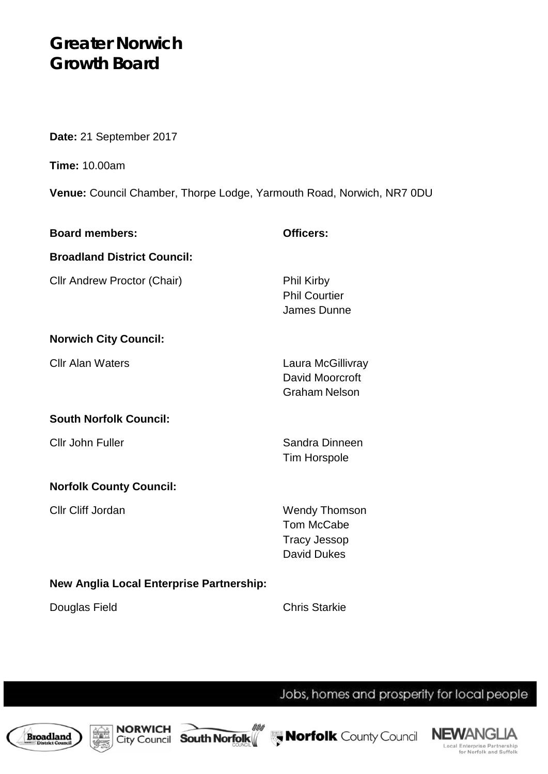# **Greater Norwich Growth Board**

**Date:** 21 September 2017

**Time:** 10.00am

**Venue:** Council Chamber, Thorpe Lodge, Yarmouth Road, Norwich, NR7 0DU

| <b>Board members:</b>                           | Officers:                                                                              |  |
|-------------------------------------------------|----------------------------------------------------------------------------------------|--|
| <b>Broadland District Council:</b>              |                                                                                        |  |
| <b>Cllr Andrew Proctor (Chair)</b>              | <b>Phil Kirby</b><br><b>Phil Courtier</b><br>James Dunne                               |  |
| <b>Norwich City Council:</b>                    |                                                                                        |  |
| <b>Cllr Alan Waters</b>                         | Laura McGillivray<br>David Moorcroft<br><b>Graham Nelson</b>                           |  |
| <b>South Norfolk Council:</b>                   |                                                                                        |  |
| <b>Cllr John Fuller</b>                         | Sandra Dinneen<br><b>Tim Horspole</b>                                                  |  |
| <b>Norfolk County Council:</b>                  |                                                                                        |  |
| <b>Cllr Cliff Jordan</b>                        | <b>Wendy Thomson</b><br><b>Tom McCabe</b><br><b>Tracy Jessop</b><br><b>David Dukes</b> |  |
| <b>New Anglia Local Enterprise Partnership:</b> |                                                                                        |  |

Douglas Field **Chris Starkie** 

Jobs, homes and prosperity for local people









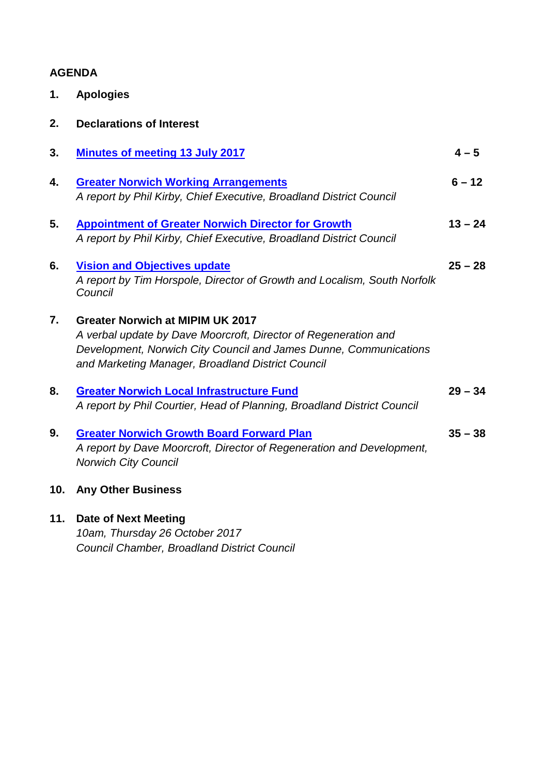### **AGENDA**

| 1. | <b>Apologies</b> |  |
|----|------------------|--|
|    |                  |  |

| 3.  | <b>Minutes of meeting 13 July 2017</b>                                                                                                                                                                                               | $4 - 5$   |
|-----|--------------------------------------------------------------------------------------------------------------------------------------------------------------------------------------------------------------------------------------|-----------|
| 4.  | <b>Greater Norwich Working Arrangements</b><br>A report by Phil Kirby, Chief Executive, Broadland District Council                                                                                                                   | $6 - 12$  |
| 5.  | <b>Appointment of Greater Norwich Director for Growth</b><br>A report by Phil Kirby, Chief Executive, Broadland District Council                                                                                                     | $13 - 24$ |
| 6.  | <b>Vision and Objectives update</b><br>A report by Tim Horspole, Director of Growth and Localism, South Norfolk<br>Council                                                                                                           | $25 - 28$ |
| 7.  | <b>Greater Norwich at MIPIM UK 2017</b><br>A verbal update by Dave Moorcroft, Director of Regeneration and<br>Development, Norwich City Council and James Dunne, Communications<br>and Marketing Manager, Broadland District Council |           |
| 8.  | <b>Greater Norwich Local Infrastructure Fund</b><br>A report by Phil Courtier, Head of Planning, Broadland District Council                                                                                                          | $29 - 34$ |
| 9.  | <b>Greater Norwich Growth Board Forward Plan</b><br>A report by Dave Moorcroft, Director of Regeneration and Development,<br><b>Norwich City Council</b>                                                                             | $35 - 38$ |
| 10. | <b>Any Other Business</b>                                                                                                                                                                                                            |           |
| 11. | <b>Date of Next Meeting</b><br>$10cm$ Thursday 26 Ostober 2017                                                                                                                                                                       |           |

*10am, Thursday 26 October 2017 Council Chamber, Broadland District Council*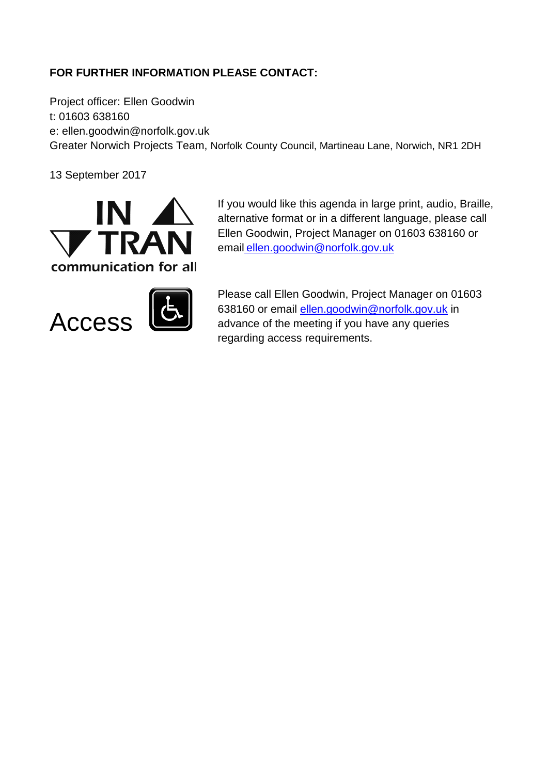### **FOR FURTHER INFORMATION PLEASE CONTACT:**

Project officer: Ellen Goodwin t: 01603 638160 e: ellen.goodwin@norfolk.gov.uk Greater Norwich Projects Team, Norfolk County Council, Martineau Lane, Norwich, NR1 2DH

13 September 2017



If you would like this agenda in large print, audio, Braille, alternative format or in a different language, please call Ellen Goodwin, Project Manager on 01603 638160 or email ellen.goodwin@norfolk.gov.uk



Please call Ellen Goodwin, Project Manager on 01603 638160 or email [ellen.goodwin@norfolk.gov.uk](mailto:ellen.goodwin@norfolk.gov.uk) in advance of the meeting if you have any queries regarding access requirements.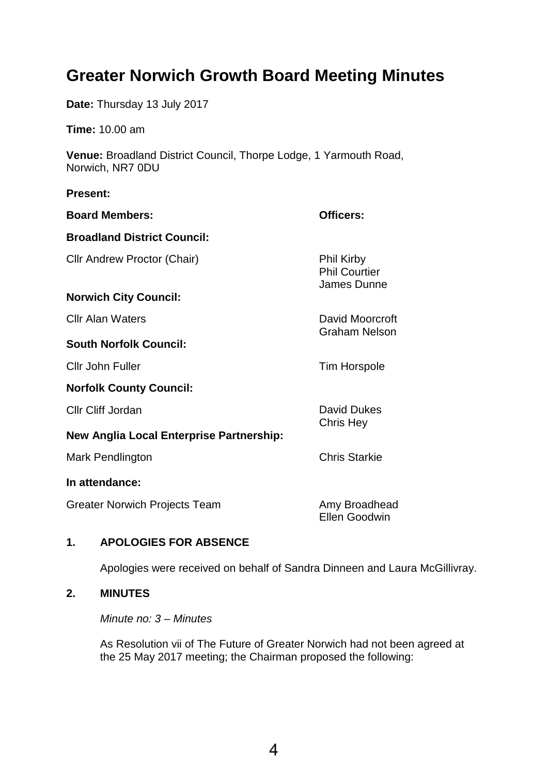# <span id="page-3-0"></span>**Greater Norwich Growth Board Meeting Minutes**

**Date:** Thursday 13 July 2017

**Time:** 10.00 am

**Venue:** Broadland District Council, Thorpe Lodge, 1 Yarmouth Road, Norwich, NR7 0DU

#### **Present:**

| <b>Board Members:</b>                    | Officers:                                                |
|------------------------------------------|----------------------------------------------------------|
| <b>Broadland District Council:</b>       |                                                          |
| Cllr Andrew Proctor (Chair)              | <b>Phil Kirby</b><br><b>Phil Courtier</b><br>James Dunne |
| <b>Norwich City Council:</b>             |                                                          |
| <b>Cllr Alan Waters</b>                  | David Moorcroft                                          |
| <b>South Norfolk Council:</b>            | <b>Graham Nelson</b>                                     |
| Cllr John Fuller                         | <b>Tim Horspole</b>                                      |
| <b>Norfolk County Council:</b>           |                                                          |
| Cllr Cliff Jordan                        | <b>David Dukes</b>                                       |
| New Anglia Local Enterprise Partnership: | Chris Hey                                                |
| Mark Pendlington                         | <b>Chris Starkie</b>                                     |
| In attendance:                           |                                                          |
| Greater Norwich Projects Team            | Amy Broadhead<br><b>Ellen Goodwin</b>                    |

### **1. APOLOGIES FOR ABSENCE**

Apologies were received on behalf of Sandra Dinneen and Laura McGillivray.

### **2. MINUTES**

*Minute no: 3 – Minutes*

As Resolution vii of The Future of Greater Norwich had not been agreed at the 25 May 2017 meeting; the Chairman proposed the following: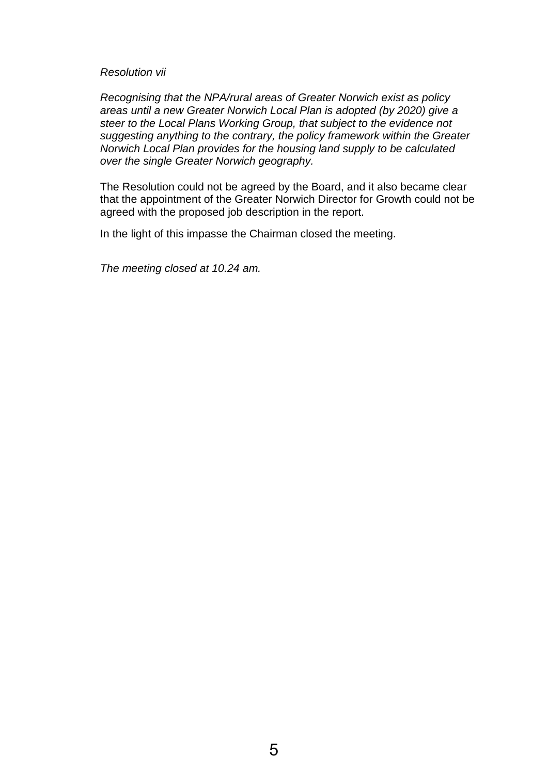#### *Resolution vii*

*Recognising that the NPA/rural areas of Greater Norwich exist as policy areas until a new Greater Norwich Local Plan is adopted (by 2020) give a steer to the Local Plans Working Group, that subject to the evidence not suggesting anything to the contrary, the policy framework within the Greater Norwich Local Plan provides for the housing land supply to be calculated over the single Greater Norwich geography.* 

The Resolution could not be agreed by the Board, and it also became clear that the appointment of the Greater Norwich Director for Growth could not be agreed with the proposed job description in the report.

In the light of this impasse the Chairman closed the meeting.

*The meeting closed at 10.24 am.*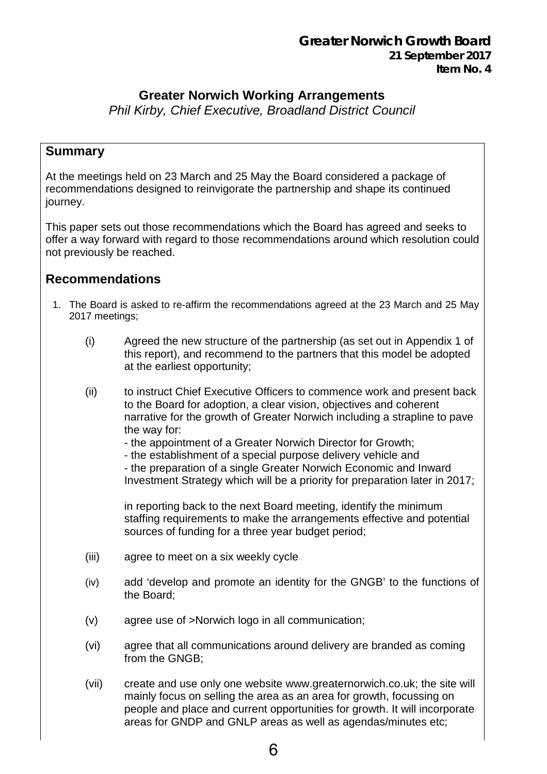### **Greater Norwich Working Arrangements**

<span id="page-5-0"></span>*Phil Kirby, Chief Executive, Broadland District Council*

### **Summary**

At the meetings held on 23 March and 25 May the Board considered a package of recommendations designed to reinvigorate the partnership and shape its continued journey.

This paper sets out those recommendations which the Board has agreed and seeks to offer a way forward with regard to those recommendations around which resolution could not previously be reached.

### **Recommendations**

- 1. The Board is asked to re-affirm the recommendations agreed at the 23 March and 25 May 2017 meetings;
	- (i) Agreed the new structure of the partnership (as set out in Appendix 1 of this report), and recommend to the partners that this model be adopted at the earliest opportunity;
	- (ii) to instruct Chief Executive Officers to commence work and present back to the Board for adoption, a clear vision, objectives and coherent narrative for the growth of Greater Norwich including a strapline to pave the way for:
		- the appointment of a Greater Norwich Director for Growth;
		- the establishment of a special purpose delivery vehicle and - the preparation of a single Greater Norwich Economic and Inward Investment Strategy which will be a priority for preparation later in 2017;

in reporting back to the next Board meeting, identify the minimum staffing requirements to make the arrangements effective and potential sources of funding for a three year budget period;

- (iii) agree to meet on a six weekly cycle
- (iv) add 'develop and promote an identity for the GNGB' to the functions of the Board;
- (v) agree use of >Norwich logo in all communication;
- (vi) agree that all communications around delivery are branded as coming from the GNGB;
- (vii) create and use only one website www.greaternorwich.co.uk; the site will mainly focus on selling the area as an area for growth, focussing on people and place and current opportunities for growth. It will incorporate areas for GNDP and GNLP areas as well as agendas/minutes etc;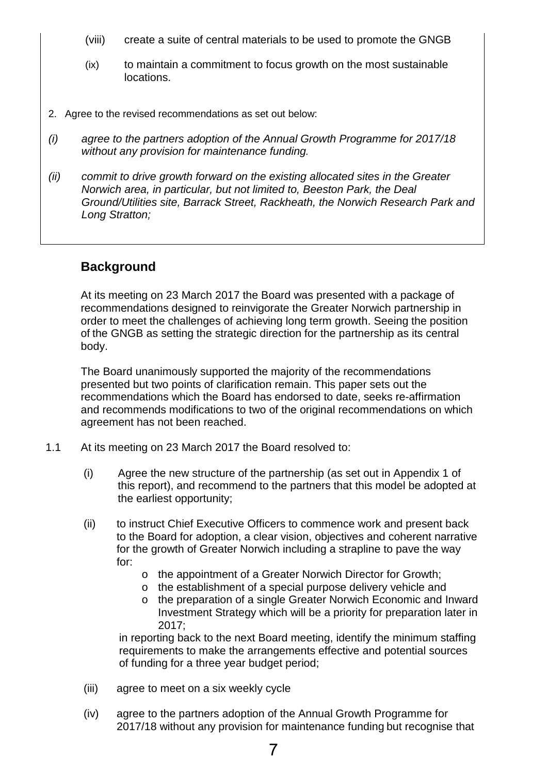- (viii) create a suite of central materials to be used to promote the GNGB
- (ix) to maintain a commitment to focus growth on the most sustainable locations.
- 2. Agree to the revised recommendations as set out below:
- *(i) agree to the partners adoption of the Annual Growth Programme for 2017/18 without any provision for maintenance funding.*
- *(ii) commit to drive growth forward on the existing allocated sites in the Greater Norwich area, in particular, but not limited to, Beeston Park, the Deal Ground/Utilities site, Barrack Street, Rackheath, the Norwich Research Park and Long Stratton;*

### **Background**

At its meeting on 23 March 2017 the Board was presented with a package of recommendations designed to reinvigorate the Greater Norwich partnership in order to meet the challenges of achieving long term growth. Seeing the position of the GNGB as setting the strategic direction for the partnership as its central body.

The Board unanimously supported the majority of the recommendations presented but two points of clarification remain. This paper sets out the recommendations which the Board has endorsed to date, seeks re-affirmation and recommends modifications to two of the original recommendations on which agreement has not been reached.

- 1.1 At its meeting on 23 March 2017 the Board resolved to:
	- (i) Agree the new structure of the partnership (as set out in Appendix 1 of this report), and recommend to the partners that this model be adopted at the earliest opportunity;
	- (ii) to instruct Chief Executive Officers to commence work and present back to the Board for adoption, a clear vision, objectives and coherent narrative for the growth of Greater Norwich including a strapline to pave the way for:
		- o the appointment of a Greater Norwich Director for Growth;
		- o the establishment of a special purpose delivery vehicle and
		- o the preparation of a single Greater Norwich Economic and Inward Investment Strategy which will be a priority for preparation later in 2017;

in reporting back to the next Board meeting, identify the minimum staffing requirements to make the arrangements effective and potential sources of funding for a three year budget period;

- (iii) agree to meet on a six weekly cycle
- (iv) agree to the partners adoption of the Annual Growth Programme for 2017/18 without any provision for maintenance funding but recognise that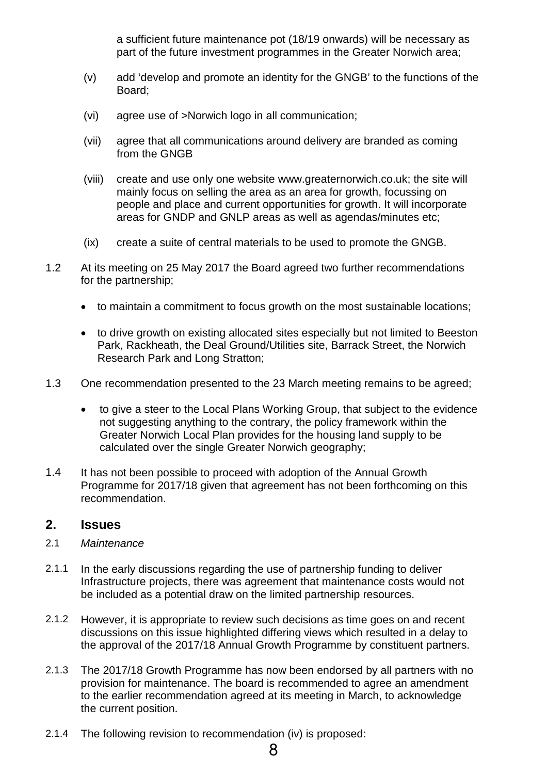a sufficient future maintenance pot (18/19 onwards) will be necessary as part of the future investment programmes in the Greater Norwich area;

- (v) add 'develop and promote an identity for the GNGB' to the functions of the Board;
- (vi) agree use of >Norwich logo in all communication;
- (vii) agree that all communications around delivery are branded as coming from the GNGB
- (viii) create and use only one website www.greaternorwich.co.uk; the site will mainly focus on selling the area as an area for growth, focussing on people and place and current opportunities for growth. It will incorporate areas for GNDP and GNLP areas as well as agendas/minutes etc;
- (ix) create a suite of central materials to be used to promote the GNGB.
- 1.2 At its meeting on 25 May 2017 the Board agreed two further recommendations for the partnership;
	- to maintain a commitment to focus growth on the most sustainable locations;
	- to drive growth on existing allocated sites especially but not limited to Beeston Park, Rackheath, the Deal Ground/Utilities site, Barrack Street, the Norwich Research Park and Long Stratton;
- 1.3 One recommendation presented to the 23 March meeting remains to be agreed;
	- to give a steer to the Local Plans Working Group, that subject to the evidence not suggesting anything to the contrary, the policy framework within the Greater Norwich Local Plan provides for the housing land supply to be calculated over the single Greater Norwich geography;
- 1.4 It has not been possible to proceed with adoption of the Annual Growth Programme for 2017/18 given that agreement has not been forthcoming on this recommendation.

### **2. Issues**

- 2.1 *Maintenance*
- 2.1.1 In the early discussions regarding the use of partnership funding to deliver Infrastructure projects, there was agreement that maintenance costs would not be included as a potential draw on the limited partnership resources.
- 2.1.2 However, it is appropriate to review such decisions as time goes on and recent discussions on this issue highlighted differing views which resulted in a delay to the approval of the 2017/18 Annual Growth Programme by constituent partners.
- 2.1.3 The 2017/18 Growth Programme has now been endorsed by all partners with no provision for maintenance. The board is recommended to agree an amendment to the earlier recommendation agreed at its meeting in March, to acknowledge the current position.
- 2.1.4 The following revision to recommendation (iv) is proposed: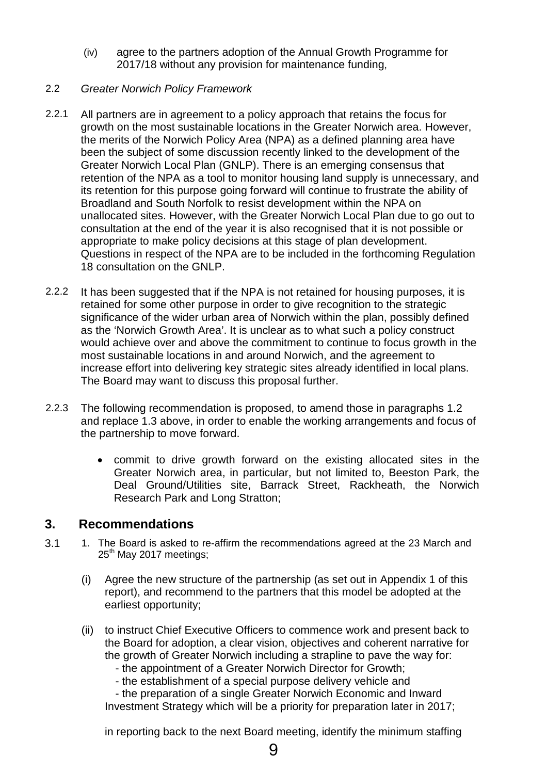(iv) agree to the partners adoption of the Annual Growth Programme for 2017/18 without any provision for maintenance funding,

### 2.2 *Greater Norwich Policy Framework*

- 2.2.1 All partners are in agreement to a policy approach that retains the focus for growth on the most sustainable locations in the Greater Norwich area. However, the merits of the Norwich Policy Area (NPA) as a defined planning area have been the subject of some discussion recently linked to the development of the Greater Norwich Local Plan (GNLP). There is an emerging consensus that retention of the NPA as a tool to monitor housing land supply is unnecessary, and its retention for this purpose going forward will continue to frustrate the ability of Broadland and South Norfolk to resist development within the NPA on unallocated sites. However, with the Greater Norwich Local Plan due to go out to consultation at the end of the year it is also recognised that it is not possible or appropriate to make policy decisions at this stage of plan development. Questions in respect of the NPA are to be included in the forthcoming Regulation 18 consultation on the GNLP.
- 2.2.2 It has been suggested that if the NPA is not retained for housing purposes, it is retained for some other purpose in order to give recognition to the strategic significance of the wider urban area of Norwich within the plan, possibly defined as the 'Norwich Growth Area'. It is unclear as to what such a policy construct would achieve over and above the commitment to continue to focus growth in the most sustainable locations in and around Norwich, and the agreement to increase effort into delivering key strategic sites already identified in local plans. The Board may want to discuss this proposal further.
- 2.2.3 The following recommendation is proposed, to amend those in paragraphs 1.2 and replace 1.3 above, in order to enable the working arrangements and focus of the partnership to move forward.
	- commit to drive growth forward on the existing allocated sites in the Greater Norwich area, in particular, but not limited to, Beeston Park, the Deal Ground/Utilities site, Barrack Street, Rackheath, the Norwich Research Park and Long Stratton;

### **3. Recommendations**

- 3.1 1. The Board is asked to re-affirm the recommendations agreed at the 23 March and  $25<sup>th</sup>$  May 2017 meetings;
	- (i) Agree the new structure of the partnership (as set out in Appendix 1 of this report), and recommend to the partners that this model be adopted at the earliest opportunity;
	- (ii) to instruct Chief Executive Officers to commence work and present back to the Board for adoption, a clear vision, objectives and coherent narrative for the growth of Greater Norwich including a strapline to pave the way for:
		- the appointment of a Greater Norwich Director for Growth;
		- the establishment of a special purpose delivery vehicle and

 - the preparation of a single Greater Norwich Economic and Inward Investment Strategy which will be a priority for preparation later in 2017;

in reporting back to the next Board meeting, identify the minimum staffing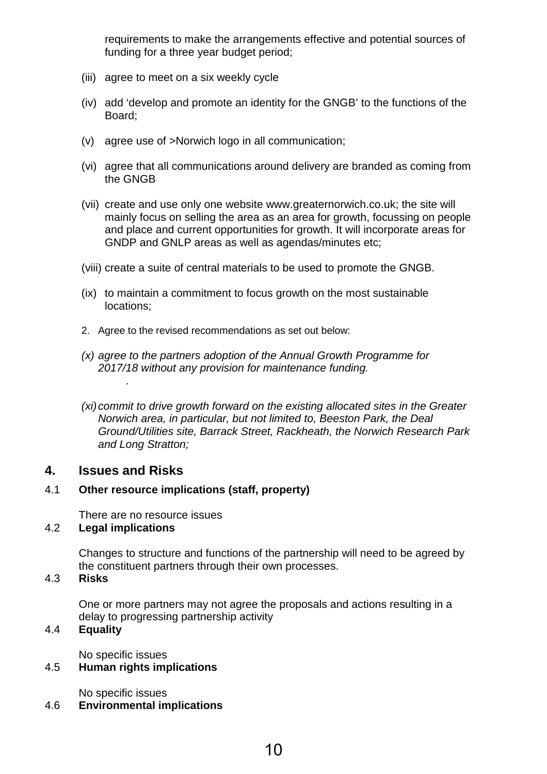requirements to make the arrangements effective and potential sources of funding for a three year budget period;

- (iii) agree to meet on a six weekly cycle
- (iv) add 'develop and promote an identity for the GNGB' to the functions of the Board;
- (v) agree use of >Norwich logo in all communication;
- (vi) agree that all communications around delivery are branded as coming from the GNGB
- (vii) create and use only one website www.greaternorwich.co.uk; the site will mainly focus on selling the area as an area for growth, focussing on people and place and current opportunities for growth. It will incorporate areas for GNDP and GNLP areas as well as agendas/minutes etc;
- (viii) create a suite of central materials to be used to promote the GNGB.
- (ix) to maintain a commitment to focus growth on the most sustainable locations;
- 2. Agree to the revised recommendations as set out below:
- *(x) agree to the partners adoption of the Annual Growth Programme for 2017/18 without any provision for maintenance funding.*
- *(xi)commit to drive growth forward on the existing allocated sites in the Greater Norwich area, in particular, but not limited to, Beeston Park, the Deal Ground/Utilities site, Barrack Street, Rackheath, the Norwich Research Park and Long Stratton;*

### **4. Issues and Risks**

*.*

### 4.1 **Other resource implications (staff, property)**

There are no resource issues

### 4.2 **Legal implications**

Changes to structure and functions of the partnership will need to be agreed by the constituent partners through their own processes.

#### 4.3 **Risks**

One or more partners may not agree the proposals and actions resulting in a delay to progressing partnership activity

### 4.4 **Equality**

No specific issues

### 4.5 **Human rights implications**

No specific issues

#### 4.6 **Environmental implications**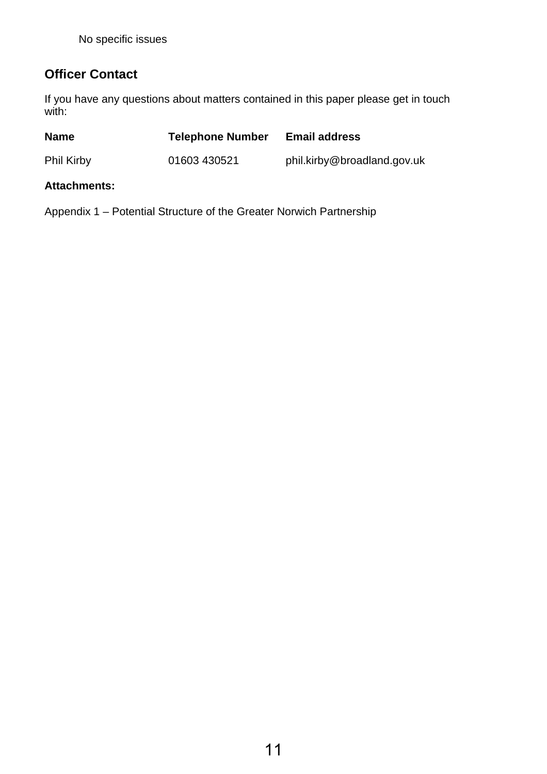## **Officer Contact**

If you have any questions about matters contained in this paper please get in touch with:

| <b>Name</b>         | <b>Telephone Number</b> | <b>Email address</b>        |
|---------------------|-------------------------|-----------------------------|
| <b>Phil Kirby</b>   | 01603 430521            | phil.kirby@broadland.gov.uk |
| <b>Attachments:</b> |                         |                             |

Appendix 1 – Potential Structure of the Greater Norwich Partnership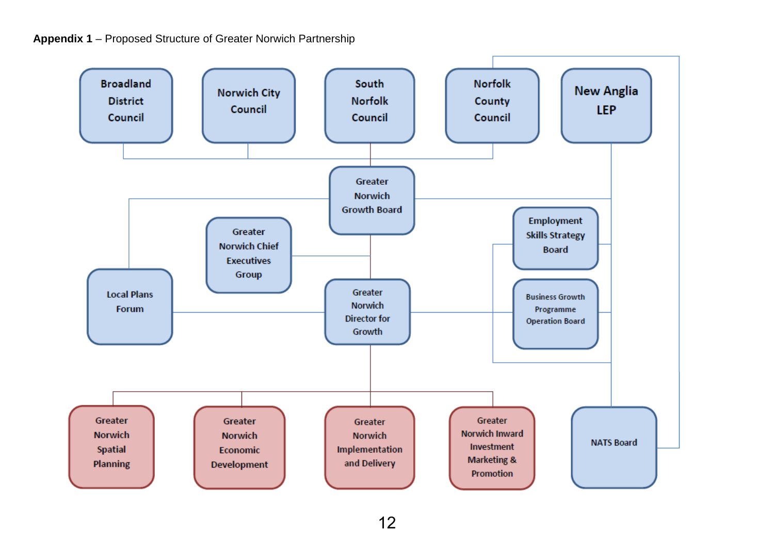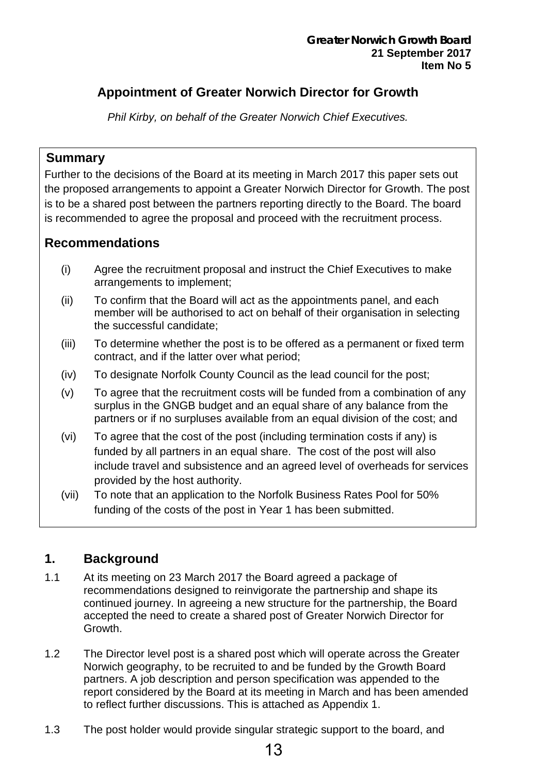## <span id="page-12-0"></span>**Appointment of Greater Norwich Director for Growth**

*Phil Kirby, on behalf of the Greater Norwich Chief Executives.*

### **Summary**

Further to the decisions of the Board at its meeting in March 2017 this paper sets out the proposed arrangements to appoint a Greater Norwich Director for Growth. The post is to be a shared post between the partners reporting directly to the Board. The board is recommended to agree the proposal and proceed with the recruitment process.

### **Recommendations**

- (i) Agree the recruitment proposal and instruct the Chief Executives to make arrangements to implement;
- (ii) To confirm that the Board will act as the appointments panel, and each member will be authorised to act on behalf of their organisation in selecting the successful candidate;
- (iii) To determine whether the post is to be offered as a permanent or fixed term contract, and if the latter over what period;
- (iv) To designate Norfolk County Council as the lead council for the post;
- (v) To agree that the recruitment costs will be funded from a combination of any surplus in the GNGB budget and an equal share of any balance from the partners or if no surpluses available from an equal division of the cost; and
- (vi) To agree that the cost of the post (including termination costs if any) is funded by all partners in an equal share. The cost of the post will also include travel and subsistence and an agreed level of overheads for services provided by the host authority.
- (vii) To note that an application to the Norfolk Business Rates Pool for 50% funding of the costs of the post in Year 1 has been submitted.

### **1. Background**

- 1.1 At its meeting on 23 March 2017 the Board agreed a package of recommendations designed to reinvigorate the partnership and shape its continued journey. In agreeing a new structure for the partnership, the Board accepted the need to create a shared post of Greater Norwich Director for Growth.
- 1.2 The Director level post is a shared post which will operate across the Greater Norwich geography, to be recruited to and be funded by the Growth Board partners. A job description and person specification was appended to the report considered by the Board at its meeting in March and has been amended to reflect further discussions. This is attached as Appendix 1.
- 1.3 The post holder would provide singular strategic support to the board, and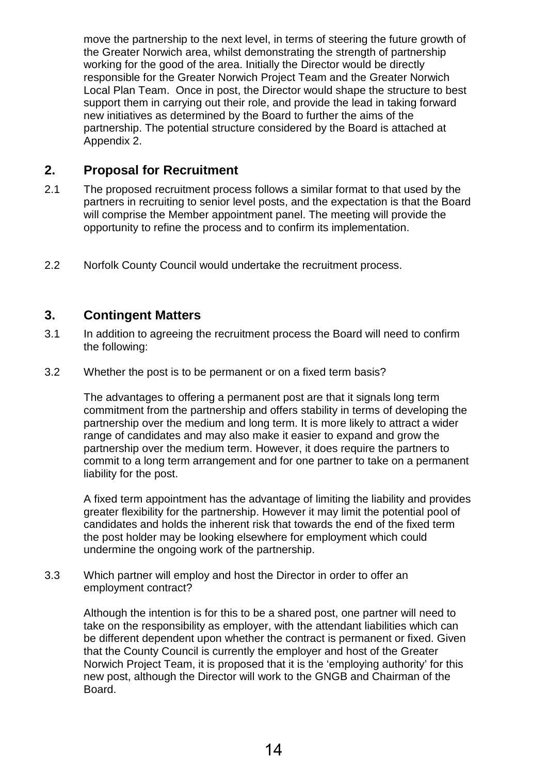move the partnership to the next level, in terms of steering the future growth of the Greater Norwich area, whilst demonstrating the strength of partnership working for the good of the area. Initially the Director would be directly responsible for the Greater Norwich Project Team and the Greater Norwich Local Plan Team. Once in post, the Director would shape the structure to best support them in carrying out their role, and provide the lead in taking forward new initiatives as determined by the Board to further the aims of the partnership. The potential structure considered by the Board is attached at Appendix 2.

### **2. Proposal for Recruitment**

- 2.1 The proposed recruitment process follows a similar format to that used by the partners in recruiting to senior level posts, and the expectation is that the Board will comprise the Member appointment panel. The meeting will provide the opportunity to refine the process and to confirm its implementation.
- 2.2 Norfolk County Council would undertake the recruitment process.

### **3. Contingent Matters**

- 3.1 In addition to agreeing the recruitment process the Board will need to confirm the following:
- 3.2 Whether the post is to be permanent or on a fixed term basis?

The advantages to offering a permanent post are that it signals long term commitment from the partnership and offers stability in terms of developing the partnership over the medium and long term. It is more likely to attract a wider range of candidates and may also make it easier to expand and grow the partnership over the medium term. However, it does require the partners to commit to a long term arrangement and for one partner to take on a permanent liability for the post.

A fixed term appointment has the advantage of limiting the liability and provides greater flexibility for the partnership. However it may limit the potential pool of candidates and holds the inherent risk that towards the end of the fixed term the post holder may be looking elsewhere for employment which could undermine the ongoing work of the partnership.

3.3 Which partner will employ and host the Director in order to offer an employment contract?

> Although the intention is for this to be a shared post, one partner will need to take on the responsibility as employer, with the attendant liabilities which can be different dependent upon whether the contract is permanent or fixed. Given that the County Council is currently the employer and host of the Greater Norwich Project Team, it is proposed that it is the 'employing authority' for this new post, although the Director will work to the GNGB and Chairman of the Board.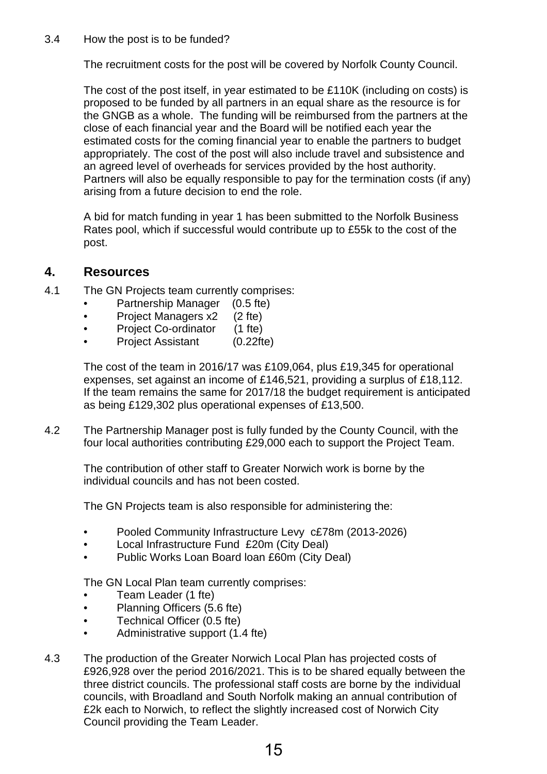#### 3.4 How the post is to be funded?

The recruitment costs for the post will be covered by Norfolk County Council.

The cost of the post itself, in year estimated to be £110K (including on costs) is proposed to be funded by all partners in an equal share as the resource is for the GNGB as a whole. The funding will be reimbursed from the partners at the close of each financial year and the Board will be notified each year the estimated costs for the coming financial year to enable the partners to budget appropriately. The cost of the post will also include travel and subsistence and an agreed level of overheads for services provided by the host authority. Partners will also be equally responsible to pay for the termination costs (if any) arising from a future decision to end the role.

A bid for match funding in year 1 has been submitted to the Norfolk Business Rates pool, which if successful would contribute up to £55k to the cost of the post.

### **4. Resources**

- 4.1 The GN Projects team currently comprises:
	- Partnership Manager (0.5 fte)
	- Project Managers x2 (2 fte)
	-
	- Project Co-ordinator (1 fte)<br>• Project Assistant (0.22fte) • Project Assistant

The cost of the team in 2016/17 was £109,064, plus £19,345 for operational expenses, set against an income of £146,521, providing a surplus of £18,112. If the team remains the same for 2017/18 the budget requirement is anticipated as being £129,302 plus operational expenses of £13,500.

4.2 The Partnership Manager post is fully funded by the County Council, with the four local authorities contributing £29,000 each to support the Project Team.

The contribution of other staff to Greater Norwich work is borne by the individual councils and has not been costed.

The GN Projects team is also responsible for administering the:

- Pooled Community Infrastructure Levy c£78m (2013-2026)
- Local Infrastructure Fund £20m (City Deal)
- Public Works Loan Board loan £60m (City Deal)

The GN Local Plan team currently comprises:

- Team Leader (1 fte)
- Planning Officers (5.6 fte)
- Technical Officer (0.5 fte)
- Administrative support (1.4 fte)
- 4.3 The production of the Greater Norwich Local Plan has projected costs of £926,928 over the period 2016/2021. This is to be shared equally between the three district councils. The professional staff costs are borne by the individual councils, with Broadland and South Norfolk making an annual contribution of £2k each to Norwich, to reflect the slightly increased cost of Norwich City Council providing the Team Leader.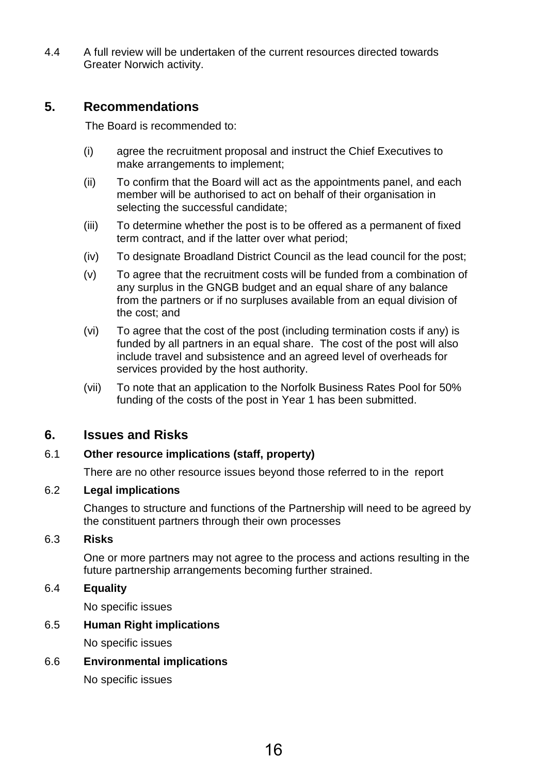4.4 A full review will be undertaken of the current resources directed towards Greater Norwich activity.

### **5. Recommendations**

The Board is recommended to:

- (i) agree the recruitment proposal and instruct the Chief Executives to make arrangements to implement;
- (ii) To confirm that the Board will act as the appointments panel, and each member will be authorised to act on behalf of their organisation in selecting the successful candidate;
- (iii) To determine whether the post is to be offered as a permanent of fixed term contract, and if the latter over what period;
- (iv) To designate Broadland District Council as the lead council for the post;
- (v) To agree that the recruitment costs will be funded from a combination of any surplus in the GNGB budget and an equal share of any balance from the partners or if no surpluses available from an equal division of the cost; and
- (vi) To agree that the cost of the post (including termination costs if any) is funded by all partners in an equal share. The cost of the post will also include travel and subsistence and an agreed level of overheads for services provided by the host authority.
- (vii) To note that an application to the Norfolk Business Rates Pool for 50% funding of the costs of the post in Year 1 has been submitted.

### **6. Issues and Risks**

#### 6.1 **Other resource implications (staff, property)**

There are no other resource issues beyond those referred to in the report

#### 6.2 **Legal implications**

Changes to structure and functions of the Partnership will need to be agreed by the constituent partners through their own processes

#### 6.3 **Risks**

One or more partners may not agree to the process and actions resulting in the future partnership arrangements becoming further strained.

#### 6.4 **Equality**

No specific issues

#### 6.5 **Human Right implications**

No specific issues

6.6 **Environmental implications**

No specific issues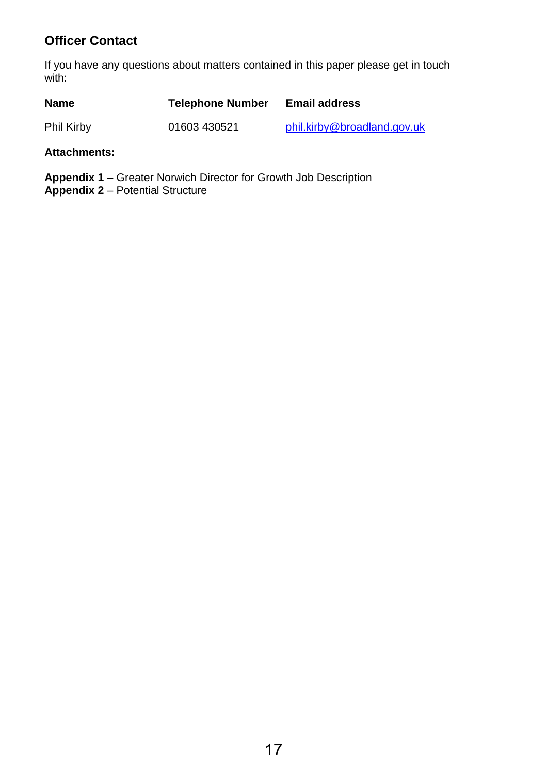## **Officer Contact**

If you have any questions about matters contained in this paper please get in touch with:

| <b>Name</b> | <b>Telephone Number</b> | <b>Email address</b>        |
|-------------|-------------------------|-----------------------------|
| Phil Kirby  | 01603 430521            | phil.kirby@broadland.gov.uk |

#### **Attachments:**

**Appendix 1** – Greater Norwich Director for Growth Job Description **Appendix 2** – Potential Structure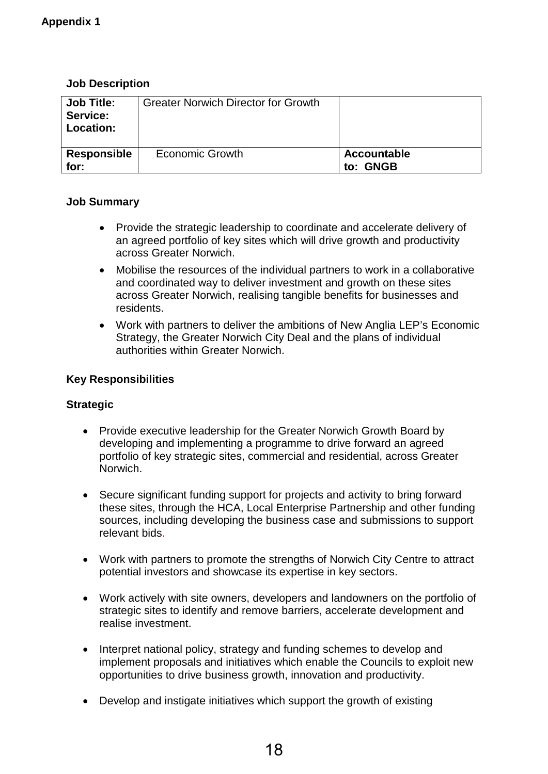### **Job Description**

| <b>Job Title:</b><br>Service:<br>Location: | <b>Greater Norwich Director for Growth</b> |                         |
|--------------------------------------------|--------------------------------------------|-------------------------|
| Responsible<br>for:                        | <b>Economic Growth</b>                     | Accountable<br>to: GNGB |

### **Job Summary**

- Provide the strategic leadership to coordinate and accelerate delivery of an agreed portfolio of key sites which will drive growth and productivity across Greater Norwich.
- Mobilise the resources of the individual partners to work in a collaborative and coordinated way to deliver investment and growth on these sites across Greater Norwich, realising tangible benefits for businesses and residents.
- Work with partners to deliver the ambitions of New Anglia LEP's Economic Strategy, the Greater Norwich City Deal and the plans of individual authorities within Greater Norwich.

#### **Key Responsibilities**

### **Strategic**

- Provide executive leadership for the Greater Norwich Growth Board by developing and implementing a programme to drive forward an agreed portfolio of key strategic sites, commercial and residential, across Greater Norwich.
- Secure significant funding support for projects and activity to bring forward these sites, through the HCA, Local Enterprise Partnership and other funding sources, including developing the business case and submissions to support relevant bids.
- Work with partners to promote the strengths of Norwich City Centre to attract potential investors and showcase its expertise in key sectors.
- Work actively with site owners, developers and landowners on the portfolio of strategic sites to identify and remove barriers, accelerate development and realise investment.
- Interpret national policy, strategy and funding schemes to develop and implement proposals and initiatives which enable the Councils to exploit new opportunities to drive business growth, innovation and productivity.
- Develop and instigate initiatives which support the growth of existing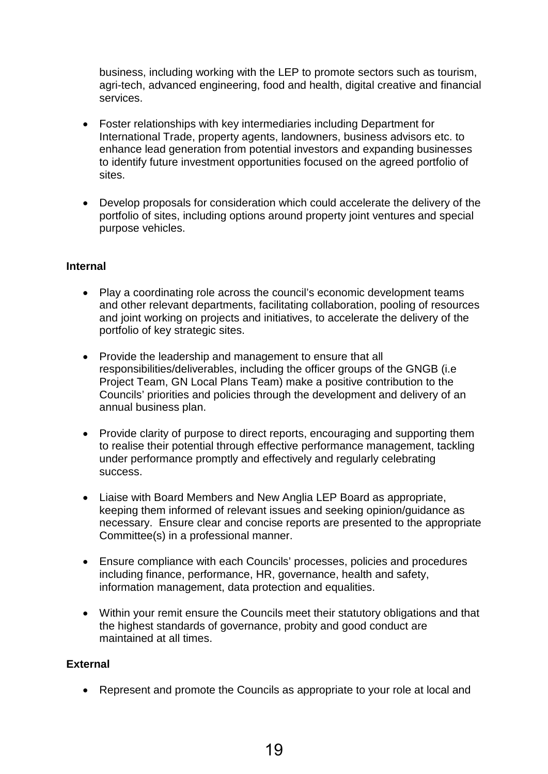business, including working with the LEP to promote sectors such as tourism, agri-tech, advanced engineering, food and health, digital creative and financial services.

- Foster relationships with key intermediaries including Department for International Trade, property agents, landowners, business advisors etc. to enhance lead generation from potential investors and expanding businesses to identify future investment opportunities focused on the agreed portfolio of sites.
- Develop proposals for consideration which could accelerate the delivery of the portfolio of sites, including options around property joint ventures and special purpose vehicles.

#### **Internal**

- Play a coordinating role across the council's economic development teams and other relevant departments, facilitating collaboration, pooling of resources and joint working on projects and initiatives, to accelerate the delivery of the portfolio of key strategic sites.
- Provide the leadership and management to ensure that all responsibilities/deliverables, including the officer groups of the GNGB (i.e Project Team, GN Local Plans Team) make a positive contribution to the Councils' priorities and policies through the development and delivery of an annual business plan.
- Provide clarity of purpose to direct reports, encouraging and supporting them to realise their potential through effective performance management, tackling under performance promptly and effectively and regularly celebrating success.
- Liaise with Board Members and New Anglia LEP Board as appropriate, keeping them informed of relevant issues and seeking opinion/guidance as necessary. Ensure clear and concise reports are presented to the appropriate Committee(s) in a professional manner.
- Ensure compliance with each Councils' processes, policies and procedures including finance, performance, HR, governance, health and safety, information management, data protection and equalities.
- Within your remit ensure the Councils meet their statutory obligations and that the highest standards of governance, probity and good conduct are maintained at all times.

#### **External**

• Represent and promote the Councils as appropriate to your role at local and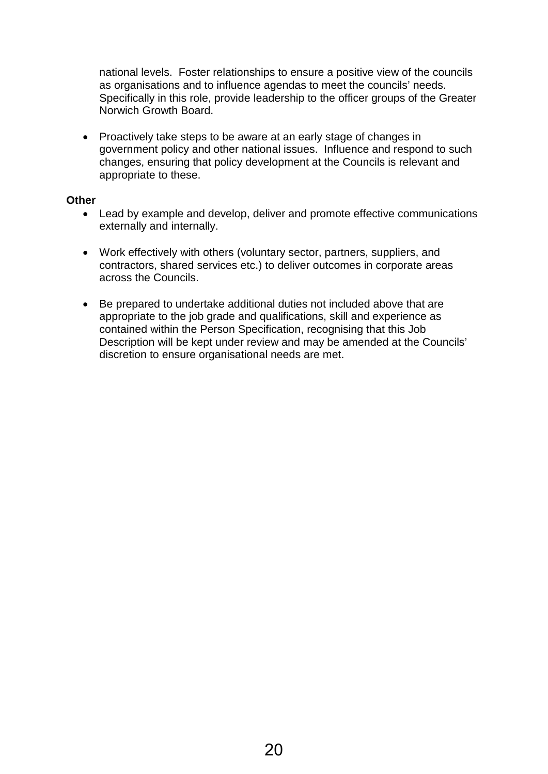national levels. Foster relationships to ensure a positive view of the councils as organisations and to influence agendas to meet the councils' needs. Specifically in this role, provide leadership to the officer groups of the Greater Norwich Growth Board.

• Proactively take steps to be aware at an early stage of changes in government policy and other national issues. Influence and respond to such changes, ensuring that policy development at the Councils is relevant and appropriate to these.

#### **Other**

- Lead by example and develop, deliver and promote effective communications externally and internally.
- Work effectively with others (voluntary sector, partners, suppliers, and contractors, shared services etc.) to deliver outcomes in corporate areas across the Councils.
- Be prepared to undertake additional duties not included above that are appropriate to the job grade and qualifications, skill and experience as contained within the Person Specification, recognising that this Job Description will be kept under review and may be amended at the Councils' discretion to ensure organisational needs are met.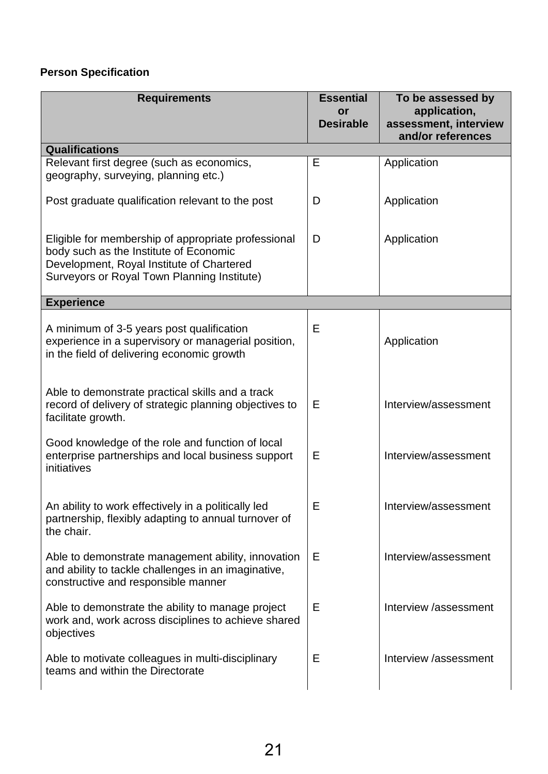## **Person Specification**

| <b>Requirements</b>                                                                                                                                                                       | <b>Essential</b><br>or<br><b>Desirable</b> | To be assessed by<br>application,<br>assessment, interview<br>and/or references |
|-------------------------------------------------------------------------------------------------------------------------------------------------------------------------------------------|--------------------------------------------|---------------------------------------------------------------------------------|
| <b>Qualifications</b>                                                                                                                                                                     |                                            |                                                                                 |
| Relevant first degree (such as economics,<br>geography, surveying, planning etc.)                                                                                                         | E                                          | Application                                                                     |
| Post graduate qualification relevant to the post                                                                                                                                          | D                                          | Application                                                                     |
| Eligible for membership of appropriate professional<br>body such as the Institute of Economic<br>Development, Royal Institute of Chartered<br>Surveyors or Royal Town Planning Institute) | D                                          | Application                                                                     |
| <b>Experience</b>                                                                                                                                                                         |                                            |                                                                                 |
| A minimum of 3-5 years post qualification<br>experience in a supervisory or managerial position,<br>in the field of delivering economic growth                                            | Е                                          | Application                                                                     |
| Able to demonstrate practical skills and a track<br>record of delivery of strategic planning objectives to<br>facilitate growth.                                                          | E                                          | Interview/assessment                                                            |
| Good knowledge of the role and function of local<br>enterprise partnerships and local business support<br>initiatives                                                                     | Е                                          | Interview/assessment                                                            |
| An ability to work effectively in a politically led<br>partnership, flexibly adapting to annual turnover of<br>the chair.                                                                 | ᄇ                                          | Interview/assessment                                                            |
| Able to demonstrate management ability, innovation<br>and ability to tackle challenges in an imaginative,<br>constructive and responsible manner                                          | Е                                          | Interview/assessment                                                            |
| Able to demonstrate the ability to manage project<br>work and, work across disciplines to achieve shared<br>objectives                                                                    | Е                                          | Interview /assessment                                                           |
| Able to motivate colleagues in multi-disciplinary<br>teams and within the Directorate                                                                                                     | Е                                          | Interview /assessment                                                           |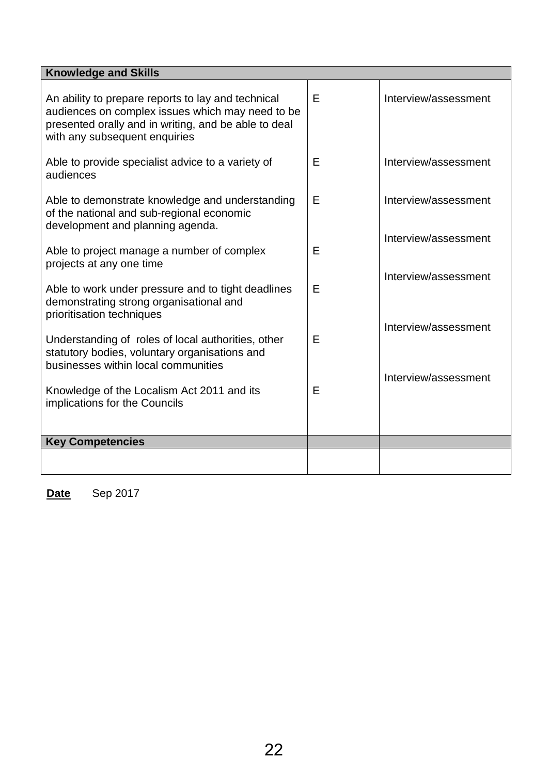| <b>Knowledge and Skills</b>                                                                                                                                                                     |   |                      |
|-------------------------------------------------------------------------------------------------------------------------------------------------------------------------------------------------|---|----------------------|
| An ability to prepare reports to lay and technical<br>audiences on complex issues which may need to be<br>presented orally and in writing, and be able to deal<br>with any subsequent enquiries | E | Interview/assessment |
| Able to provide specialist advice to a variety of<br>audiences                                                                                                                                  | Е | Interview/assessment |
| Able to demonstrate knowledge and understanding<br>of the national and sub-regional economic<br>development and planning agenda.                                                                | Е | Interview/assessment |
| Able to project manage a number of complex<br>projects at any one time                                                                                                                          | E | Interview/assessment |
| Able to work under pressure and to tight deadlines<br>demonstrating strong organisational and<br>prioritisation techniques                                                                      | Е | Interview/assessment |
| Understanding of roles of local authorities, other<br>statutory bodies, voluntary organisations and<br>businesses within local communities                                                      | E | Interview/assessment |
| Knowledge of the Localism Act 2011 and its<br>implications for the Councils                                                                                                                     | Е | Interview/assessment |
| <b>Key Competencies</b>                                                                                                                                                                         |   |                      |
|                                                                                                                                                                                                 |   |                      |
|                                                                                                                                                                                                 |   |                      |

**Date** Sep 2017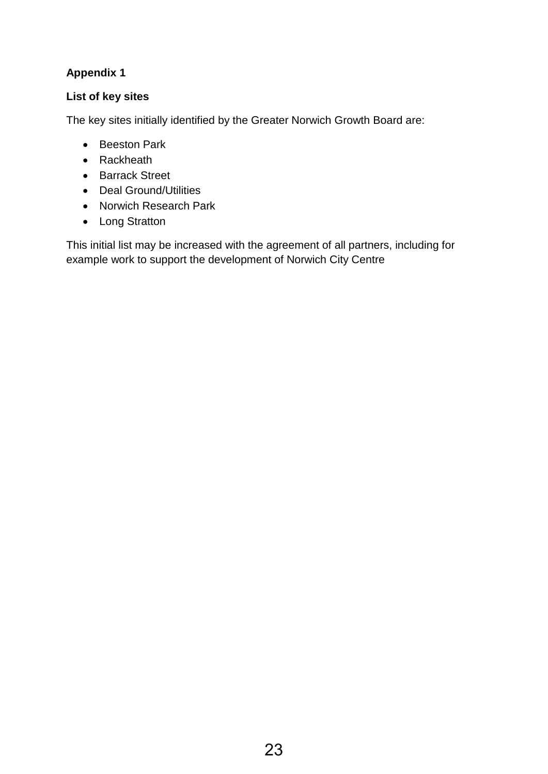### **Appendix 1**

### **List of key sites**

The key sites initially identified by the Greater Norwich Growth Board are:

- Beeston Park
- Rackheath
- Barrack Street
- Deal Ground/Utilities
- Norwich Research Park
- Long Stratton

This initial list may be increased with the agreement of all partners, including for example work to support the development of Norwich City Centre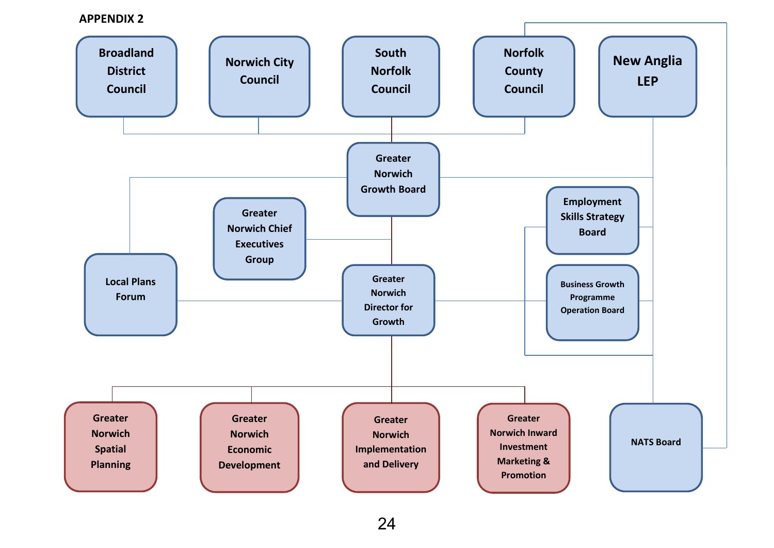#### **APPENDIX 2**

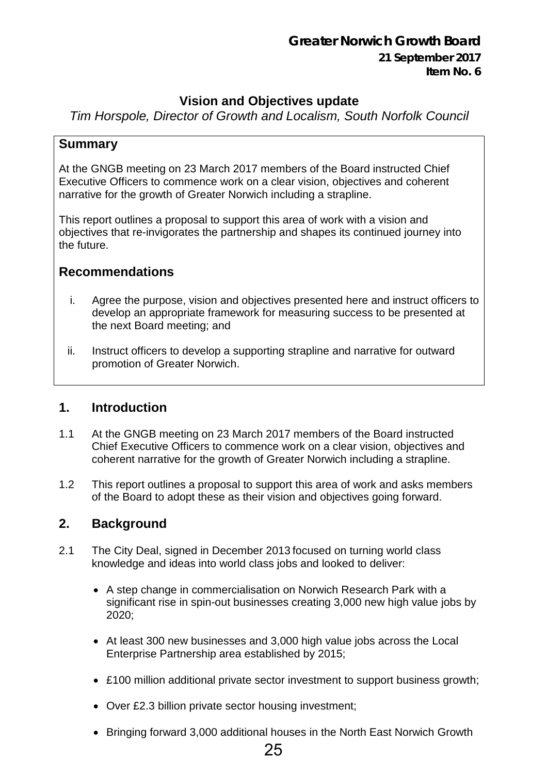## **Greater Norwich Growth Board**

### **21 September 2017 Item No. 6**

## **Vision and Objectives update**

<span id="page-24-0"></span>*Tim Horspole, Director of Growth and Localism, South Norfolk Council*

### **Summary**

At the GNGB meeting on 23 March 2017 members of the Board instructed Chief Executive Officers to commence work on a clear vision, objectives and coherent narrative for the growth of Greater Norwich including a strapline.

This report outlines a proposal to support this area of work with a vision and objectives that re-invigorates the partnership and shapes its continued journey into the future.

### **Recommendations**

- i. Agree the purpose, vision and objectives presented here and instruct officers to develop an appropriate framework for measuring success to be presented at the next Board meeting; and
- ii. Instruct officers to develop a supporting strapline and narrative for outward promotion of Greater Norwich.

## **1. Introduction**

- 1.1 At the GNGB meeting on 23 March 2017 members of the Board instructed Chief Executive Officers to commence work on a clear vision, objectives and coherent narrative for the growth of Greater Norwich including a strapline.
- 1.2 This report outlines a proposal to support this area of work and asks members of the Board to adopt these as their vision and objectives going forward.

## **2. Background**

- 2.1 The City Deal, signed in December 2013 focused on turning world class knowledge and ideas into world class jobs and looked to deliver:
	- A step change in commercialisation on Norwich Research Park with a significant rise in spin-out businesses creating 3,000 new high value jobs by 2020;
	- At least 300 new businesses and 3,000 high value jobs across the Local Enterprise Partnership area established by 2015;
	- £100 million additional private sector investment to support business growth;
	- Over £2.3 billion private sector housing investment;
	- Bringing forward 3,000 additional houses in the North East Norwich Growth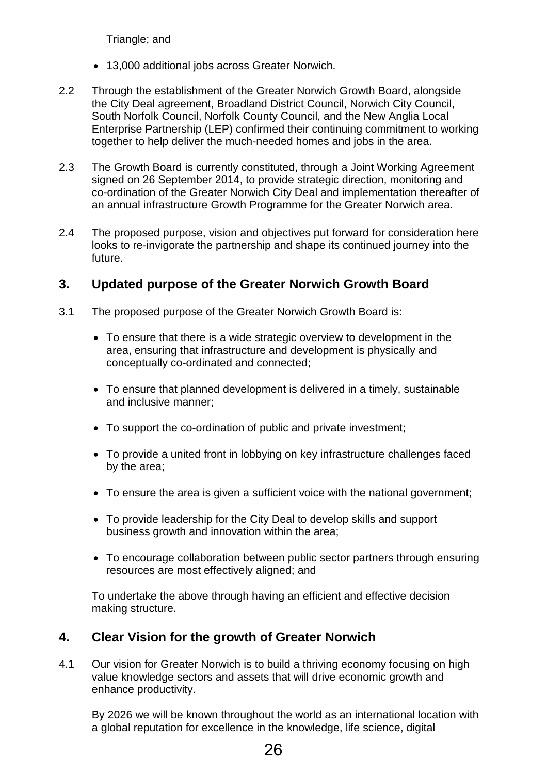Triangle; and

- 13,000 additional jobs across Greater Norwich.
- 2.2 Through the establishment of the Greater Norwich Growth Board, alongside the City Deal agreement, Broadland District Council, Norwich City Council, South Norfolk Council, Norfolk County Council, and the New Anglia Local Enterprise Partnership (LEP) confirmed their continuing commitment to working together to help deliver the much-needed homes and jobs in the area.
- 2.3 The Growth Board is currently constituted, through a Joint Working Agreement signed on 26 September 2014, to provide strategic direction, monitoring and co-ordination of the Greater Norwich City Deal and implementation thereafter of an annual infrastructure Growth Programme for the Greater Norwich area.
- 2.4 The proposed purpose, vision and objectives put forward for consideration here looks to re-invigorate the partnership and shape its continued journey into the future.

### **3. Updated purpose of the Greater Norwich Growth Board**

- 3.1 The proposed purpose of the Greater Norwich Growth Board is:
	- To ensure that there is a wide strategic overview to development in the area, ensuring that infrastructure and development is physically and conceptually co-ordinated and connected;
	- To ensure that planned development is delivered in a timely, sustainable and inclusive manner;
	- To support the co-ordination of public and private investment;
	- To provide a united front in lobbying on key infrastructure challenges faced by the area;
	- To ensure the area is given a sufficient voice with the national government;
	- To provide leadership for the City Deal to develop skills and support business growth and innovation within the area;
	- To encourage collaboration between public sector partners through ensuring resources are most effectively aligned; and

To undertake the above through having an efficient and effective decision making structure.

### **4. Clear Vision for the growth of Greater Norwich**

4.1 Our vision for Greater Norwich is to build a thriving economy focusing on high value knowledge sectors and assets that will drive economic growth and enhance productivity.

By 2026 we will be known throughout the world as an international location with a global reputation for excellence in the knowledge, life science, digital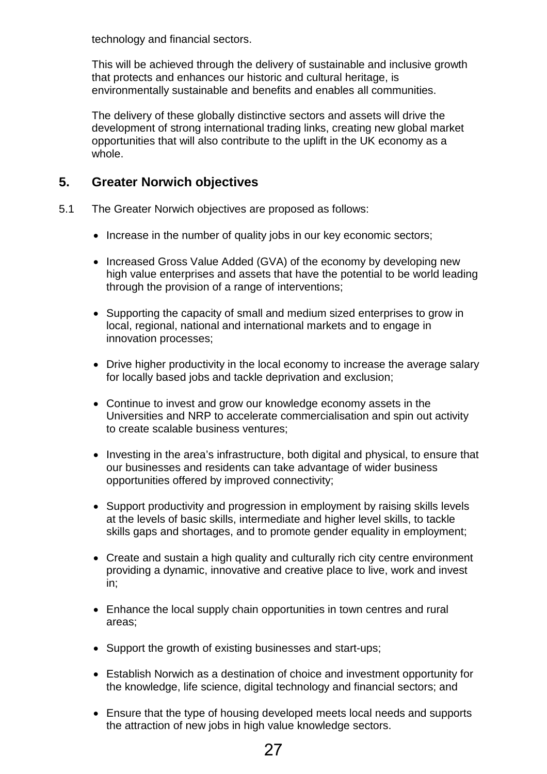technology and financial sectors.

This will be achieved through the delivery of sustainable and inclusive growth that protects and enhances our historic and cultural heritage, is environmentally sustainable and benefits and enables all communities.

The delivery of these globally distinctive sectors and assets will drive the development of strong international trading links, creating new global market opportunities that will also contribute to the uplift in the UK economy as a whole.

### **5. Greater Norwich objectives**

- 5.1 The Greater Norwich objectives are proposed as follows:
	- Increase in the number of quality jobs in our key economic sectors;
	- Increased Gross Value Added (GVA) of the economy by developing new high value enterprises and assets that have the potential to be world leading through the provision of a range of interventions;
	- Supporting the capacity of small and medium sized enterprises to grow in local, regional, national and international markets and to engage in innovation processes;
	- Drive higher productivity in the local economy to increase the average salary for locally based jobs and tackle deprivation and exclusion;
	- Continue to invest and grow our knowledge economy assets in the Universities and NRP to accelerate commercialisation and spin out activity to create scalable business ventures;
	- Investing in the area's infrastructure, both digital and physical, to ensure that our businesses and residents can take advantage of wider business opportunities offered by improved connectivity;
	- Support productivity and progression in employment by raising skills levels at the levels of basic skills, intermediate and higher level skills, to tackle skills gaps and shortages, and to promote gender equality in employment;
	- Create and sustain a high quality and culturally rich city centre environment providing a dynamic, innovative and creative place to live, work and invest in;
	- Enhance the local supply chain opportunities in town centres and rural areas;
	- Support the growth of existing businesses and start-ups;
	- Establish Norwich as a destination of choice and investment opportunity for the knowledge, life science, digital technology and financial sectors; and
	- Ensure that the type of housing developed meets local needs and supports the attraction of new jobs in high value knowledge sectors.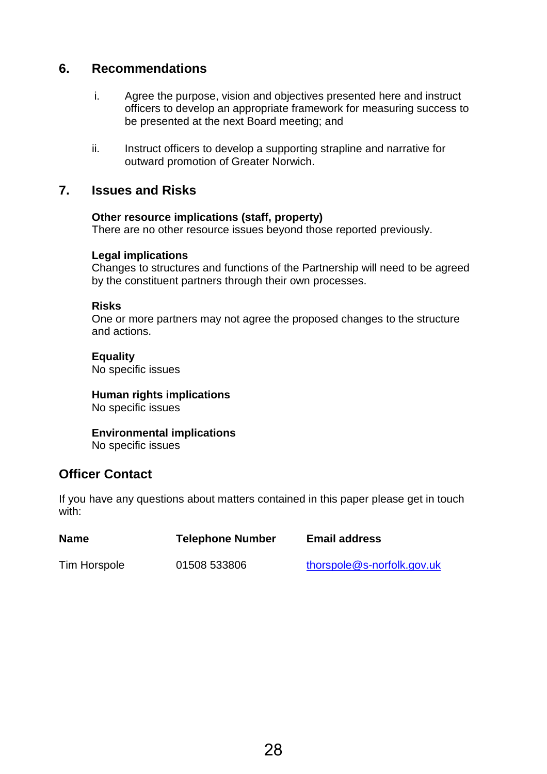### **6. Recommendations**

- i. Agree the purpose, vision and objectives presented here and instruct officers to develop an appropriate framework for measuring success to be presented at the next Board meeting; and
- ii. Instruct officers to develop a supporting strapline and narrative for outward promotion of Greater Norwich.

### **7. Issues and Risks**

#### **Other resource implications (staff, property)**

There are no other resource issues beyond those reported previously.

#### **Legal implications**

Changes to structures and functions of the Partnership will need to be agreed by the constituent partners through their own processes.

#### **Risks**

One or more partners may not agree the proposed changes to the structure and actions.

### **Equality**

No specific issues

### **Human rights implications**

No specific issues

# **Environmental implications**

No specific issues

### **Officer Contact**

If you have any questions about matters contained in this paper please get in touch with:

| <b>Name</b>  | <b>Telephone Number</b> | <b>Email address</b>       |
|--------------|-------------------------|----------------------------|
| Tim Horspole | 01508 533806            | thorspole@s-norfolk.gov.uk |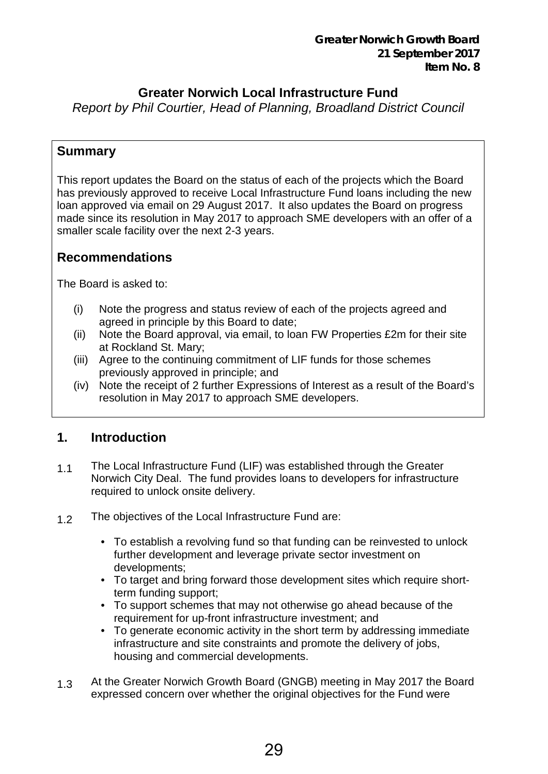## **Greater Norwich Local Infrastructure Fund**

<span id="page-28-0"></span>*Report by Phil Courtier, Head of Planning, Broadland District Council*

### **Summary**

This report updates the Board on the status of each of the projects which the Board has previously approved to receive Local Infrastructure Fund loans including the new loan approved via email on 29 August 2017. It also updates the Board on progress made since its resolution in May 2017 to approach SME developers with an offer of a smaller scale facility over the next 2-3 years.

## **Recommendations**

The Board is asked to:

- (i) Note the progress and status review of each of the projects agreed and agreed in principle by this Board to date;
- (ii) Note the Board approval, via email, to loan FW Properties £2m for their site at Rockland St. Mary;
- (iii) Agree to the continuing commitment of LIF funds for those schemes previously approved in principle; and
- (iv) Note the receipt of 2 further Expressions of Interest as a result of the Board's resolution in May 2017 to approach SME developers.

## **1. Introduction**

- 1.1 The Local Infrastructure Fund (LIF) was established through the Greater Norwich City Deal. The fund provides loans to developers for infrastructure required to unlock onsite delivery.
- 1.2 The objectives of the Local Infrastructure Fund are:
	- To establish a revolving fund so that funding can be reinvested to unlock further development and leverage private sector investment on developments;
	- To target and bring forward those development sites which require shortterm funding support;
	- To support schemes that may not otherwise go ahead because of the requirement for up-front infrastructure investment; and
	- To generate economic activity in the short term by addressing immediate infrastructure and site constraints and promote the delivery of jobs, housing and commercial developments.
- 1.3 At the Greater Norwich Growth Board (GNGB) meeting in May 2017 the Board expressed concern over whether the original objectives for the Fund were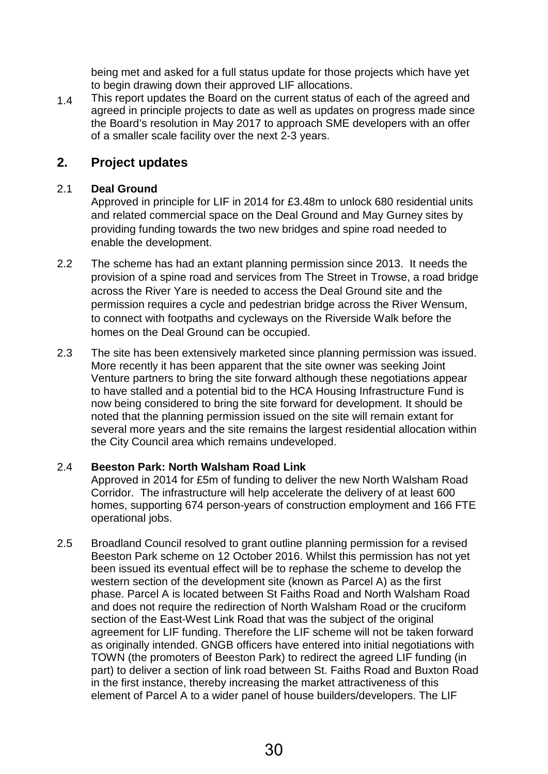being met and asked for a full status update for those projects which have yet to begin drawing down their approved LIF allocations.

1.4 This report updates the Board on the current status of each of the agreed and agreed in principle projects to date as well as updates on progress made since the Board's resolution in May 2017 to approach SME developers with an offer of a smaller scale facility over the next 2-3 years.

### **2. Project updates**

#### 2.1 **Deal Ground**

Approved in principle for LIF in 2014 for £3.48m to unlock 680 residential units and related commercial space on the Deal Ground and May Gurney sites by providing funding towards the two new bridges and spine road needed to enable the development.

- 2.2 The scheme has had an extant planning permission since 2013. It needs the provision of a spine road and services from The Street in Trowse, a road bridge across the River Yare is needed to access the Deal Ground site and the permission requires a cycle and pedestrian bridge across the River Wensum, to connect with footpaths and cycleways on the Riverside Walk before the homes on the Deal Ground can be occupied.
- 2.3 The site has been extensively marketed since planning permission was issued. More recently it has been apparent that the site owner was seeking Joint Venture partners to bring the site forward although these negotiations appear to have stalled and a potential bid to the HCA Housing Infrastructure Fund is now being considered to bring the site forward for development. It should be noted that the planning permission issued on the site will remain extant for several more years and the site remains the largest residential allocation within the City Council area which remains undeveloped.

### 2.4 **Beeston Park: North Walsham Road Link**

Approved in 2014 for £5m of funding to deliver the new North Walsham Road Corridor. The infrastructure will help accelerate the delivery of at least 600 homes, supporting 674 person-years of construction employment and 166 FTE operational jobs.

2.5 Broadland Council resolved to grant outline planning permission for a revised Beeston Park scheme on 12 October 2016. Whilst this permission has not yet been issued its eventual effect will be to rephase the scheme to develop the western section of the development site (known as Parcel A) as the first phase. Parcel A is located between St Faiths Road and North Walsham Road and does not require the redirection of North Walsham Road or the cruciform section of the East-West Link Road that was the subject of the original agreement for LIF funding. Therefore the LIF scheme will not be taken forward as originally intended. GNGB officers have entered into initial negotiations with TOWN (the promoters of Beeston Park) to redirect the agreed LIF funding (in part) to deliver a section of link road between St. Faiths Road and Buxton Road in the first instance, thereby increasing the market attractiveness of this element of Parcel A to a wider panel of house builders/developers. The LIF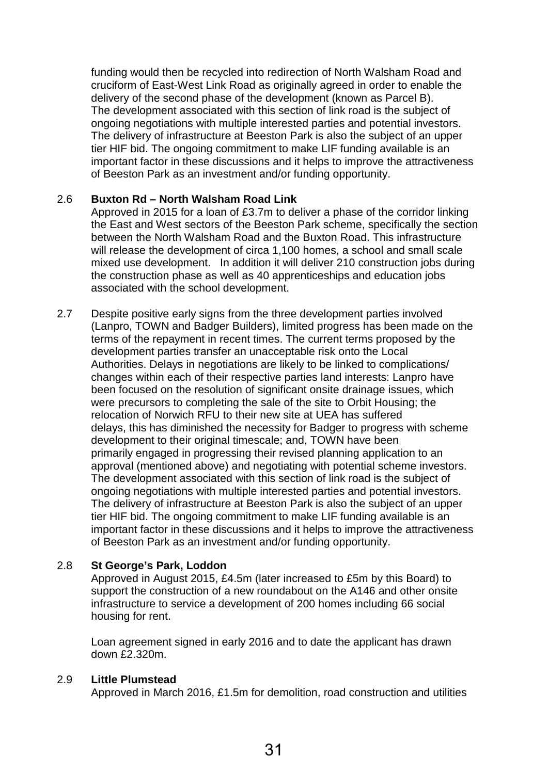funding would then be recycled into redirection of North Walsham Road and cruciform of East-West Link Road as originally agreed in order to enable the delivery of the second phase of the development (known as Parcel B). The development associated with this section of link road is the subject of ongoing negotiations with multiple interested parties and potential investors. The delivery of infrastructure at Beeston Park is also the subject of an upper tier HIF bid. The ongoing commitment to make LIF funding available is an important factor in these discussions and it helps to improve the attractiveness of Beeston Park as an investment and/or funding opportunity.

#### 2.6 **Buxton Rd – North Walsham Road Link**

Approved in 2015 for a loan of £3.7m to deliver a phase of the corridor linking the East and West sectors of the Beeston Park scheme, specifically the section between the North Walsham Road and the Buxton Road. This infrastructure will release the development of circa 1,100 homes, a school and small scale mixed use development. In addition it will deliver 210 construction jobs during the construction phase as well as 40 apprenticeships and education jobs associated with the school development.

2.7 Despite positive early signs from the three development parties involved (Lanpro, TOWN and Badger Builders), limited progress has been made on the terms of the repayment in recent times. The current terms proposed by the development parties transfer an unacceptable risk onto the Local Authorities. Delays in negotiations are likely to be linked to complications/ changes within each of their respective parties land interests: Lanpro have been focused on the resolution of significant onsite drainage issues, which were precursors to completing the sale of the site to Orbit Housing; the relocation of Norwich RFU to their new site at UEA has suffered delays, this has diminished the necessity for Badger to progress with scheme development to their original timescale; and, TOWN have been primarily engaged in progressing their revised planning application to an approval (mentioned above) and negotiating with potential scheme investors. The development associated with this section of link road is the subject of ongoing negotiations with multiple interested parties and potential investors. The delivery of infrastructure at Beeston Park is also the subject of an upper tier HIF bid. The ongoing commitment to make LIF funding available is an important factor in these discussions and it helps to improve the attractiveness of Beeston Park as an investment and/or funding opportunity.

#### 2.8 **St George's Park, Loddon**

Approved in August 2015, £4.5m (later increased to £5m by this Board) to support the construction of a new roundabout on the A146 and other onsite infrastructure to service a development of 200 homes including 66 social housing for rent.

Loan agreement signed in early 2016 and to date the applicant has drawn down £2.320m.

#### 2.9 **Little Plumstead**

Approved in March 2016, £1.5m for demolition, road construction and utilities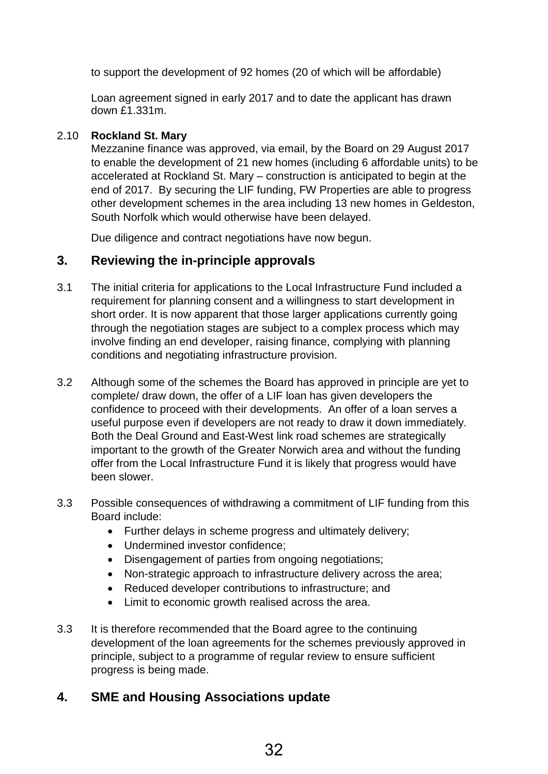to support the development of 92 homes (20 of which will be affordable)

Loan agreement signed in early 2017 and to date the applicant has drawn down £1.331m.

### 2.10 **Rockland St. Mary**

Mezzanine finance was approved, via email, by the Board on 29 August 2017 to enable the development of 21 new homes (including 6 affordable units) to be accelerated at Rockland St. Mary – construction is anticipated to begin at the end of 2017. By securing the LIF funding, FW Properties are able to progress other development schemes in the area including 13 new homes in Geldeston, South Norfolk which would otherwise have been delayed.

Due diligence and contract negotiations have now begun.

### **3. Reviewing the in-principle approvals**

- 3.1 The initial criteria for applications to the Local Infrastructure Fund included a requirement for planning consent and a willingness to start development in short order. It is now apparent that those larger applications currently going through the negotiation stages are subject to a complex process which may involve finding an end developer, raising finance, complying with planning conditions and negotiating infrastructure provision.
- 3.2 Although some of the schemes the Board has approved in principle are yet to complete/ draw down, the offer of a LIF loan has given developers the confidence to proceed with their developments. An offer of a loan serves a useful purpose even if developers are not ready to draw it down immediately. Both the Deal Ground and East-West link road schemes are strategically important to the growth of the Greater Norwich area and without the funding offer from the Local Infrastructure Fund it is likely that progress would have been slower.
- 3.3 Possible consequences of withdrawing a commitment of LIF funding from this Board include:
	- Further delays in scheme progress and ultimately delivery;
	- Undermined investor confidence;
	- Disengagement of parties from ongoing negotiations;
	- Non-strategic approach to infrastructure delivery across the area;
	- Reduced developer contributions to infrastructure; and
	- Limit to economic growth realised across the area.
- 3.3 It is therefore recommended that the Board agree to the continuing development of the loan agreements for the schemes previously approved in principle, subject to a programme of regular review to ensure sufficient progress is being made.

## **4. SME and Housing Associations update**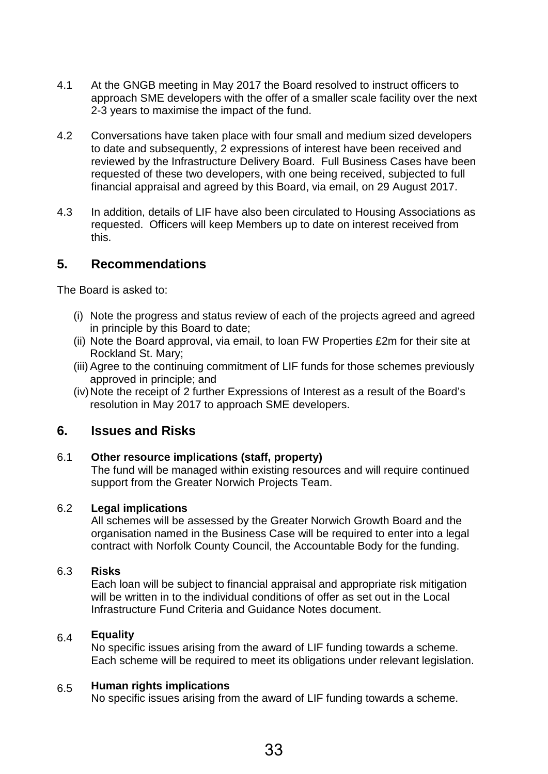- 4.1 At the GNGB meeting in May 2017 the Board resolved to instruct officers to approach SME developers with the offer of a smaller scale facility over the next 2-3 years to maximise the impact of the fund.
- 4.2 Conversations have taken place with four small and medium sized developers to date and subsequently, 2 expressions of interest have been received and reviewed by the Infrastructure Delivery Board. Full Business Cases have been requested of these two developers, with one being received, subjected to full financial appraisal and agreed by this Board, via email, on 29 August 2017.
- 4.3 In addition, details of LIF have also been circulated to Housing Associations as requested. Officers will keep Members up to date on interest received from this.

### **5. Recommendations**

The Board is asked to:

- (i) Note the progress and status review of each of the projects agreed and agreed in principle by this Board to date;
- (ii) Note the Board approval, via email, to loan FW Properties £2m for their site at Rockland St. Mary;
- (iii) Agree to the continuing commitment of LIF funds for those schemes previously approved in principle; and
- (iv)Note the receipt of 2 further Expressions of Interest as a result of the Board's resolution in May 2017 to approach SME developers.

### **6. Issues and Risks**

#### 6.1 **Other resource implications (staff, property)**

The fund will be managed within existing resources and will require continued support from the Greater Norwich Projects Team.

#### 6.2 **Legal implications**

All schemes will be assessed by the Greater Norwich Growth Board and the organisation named in the Business Case will be required to enter into a legal contract with Norfolk County Council, the Accountable Body for the funding.

#### 6.3 **Risks**

Each loan will be subject to financial appraisal and appropriate risk mitigation will be written in to the individual conditions of offer as set out in the Local Infrastructure Fund Criteria and Guidance Notes document.

#### 6.4 **Equality**

No specific issues arising from the award of LIF funding towards a scheme. Each scheme will be required to meet its obligations under relevant legislation.

#### 6.5 **Human rights implications**

No specific issues arising from the award of LIF funding towards a scheme.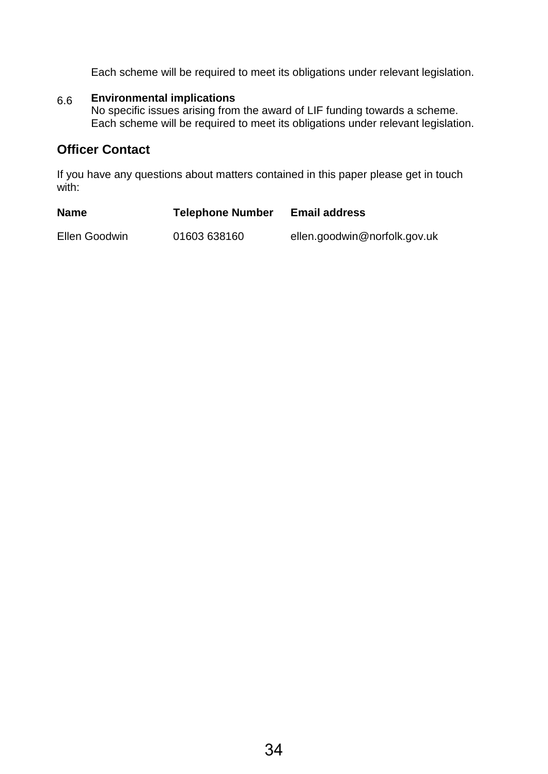Each scheme will be required to meet its obligations under relevant legislation.

#### 6.6 **Environmental implications**

No specific issues arising from the award of LIF funding towards a scheme. Each scheme will be required to meet its obligations under relevant legislation.

### **Officer Contact**

If you have any questions about matters contained in this paper please get in touch with:

| <b>Name</b>   | <b>Telephone Number</b> | <b>Email address</b>         |
|---------------|-------------------------|------------------------------|
| Ellen Goodwin | 01603 638160            | ellen.goodwin@norfolk.gov.uk |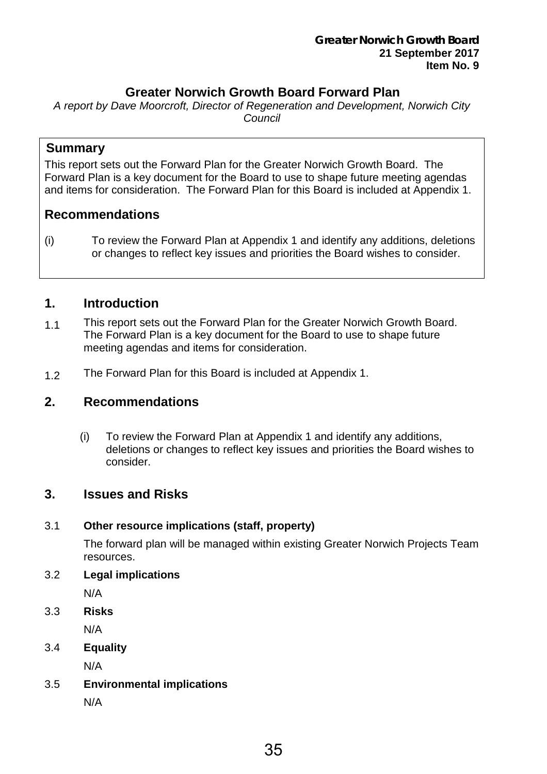### **Greater Norwich Growth Board Forward Plan**

<span id="page-34-0"></span>*A report by Dave Moorcroft, Director of Regeneration and Development, Norwich City Council* 

### **Summary**

This report sets out the Forward Plan for the Greater Norwich Growth Board. The Forward Plan is a key document for the Board to use to shape future meeting agendas and items for consideration. The Forward Plan for this Board is included at Appendix 1.

### **Recommendations**

(i) To review the Forward Plan at Appendix 1 and identify any additions, deletions or changes to reflect key issues and priorities the Board wishes to consider.

### **1. Introduction**

- 1.1 This report sets out the Forward Plan for the Greater Norwich Growth Board. The Forward Plan is a key document for the Board to use to shape future meeting agendas and items for consideration.
- 1.2 The Forward Plan for this Board is included at Appendix 1.

### **2. Recommendations**

(i) To review the Forward Plan at Appendix 1 and identify any additions, deletions or changes to reflect key issues and priorities the Board wishes to consider.

### **3. Issues and Risks**

### 3.1 **Other resource implications (staff, property)**

The forward plan will be managed within existing Greater Norwich Projects Team resources.

3.2 **Legal implications**

N/A

3.3 **Risks**

N/A

3.4 **Equality**

N/A

- 3.5 **Environmental implications**
	- N/A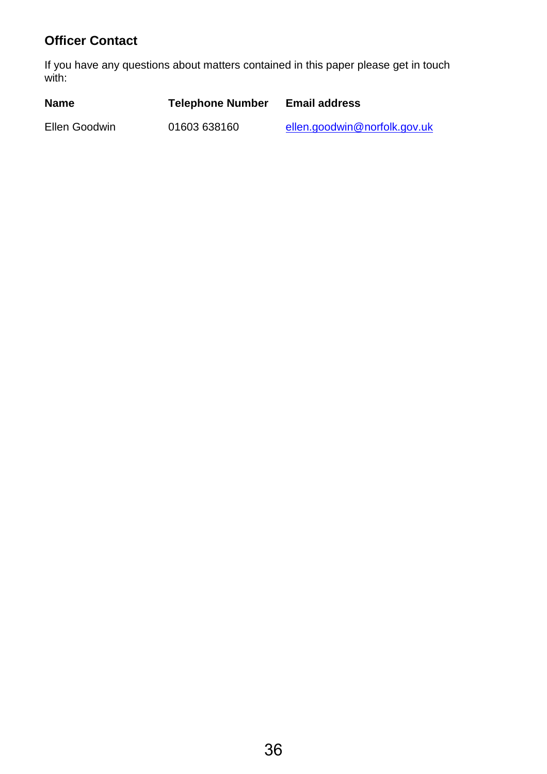# **Officer Contact**

If you have any questions about matters contained in this paper please get in touch with:

| <b>Name</b>   | <b>Telephone Number</b> | <b>Email address</b>         |
|---------------|-------------------------|------------------------------|
| Ellen Goodwin | 01603 638160            | ellen.goodwin@norfolk.gov.uk |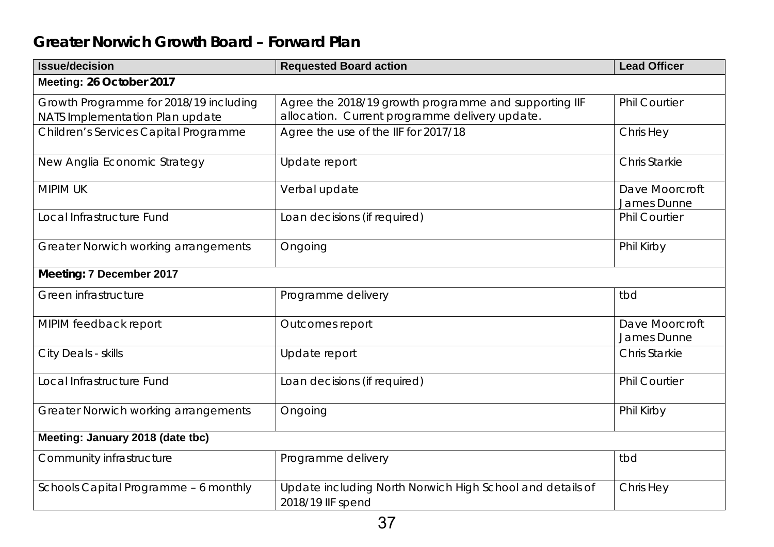# **Greater Norwich Growth Board – Forward Plan**

| <b>Issue/decision</b>                                                     | <b>Requested Board action</b>                                                                           | <b>Lead Officer</b>           |  |  |
|---------------------------------------------------------------------------|---------------------------------------------------------------------------------------------------------|-------------------------------|--|--|
| Meeting: 26 October 2017                                                  |                                                                                                         |                               |  |  |
| Growth Programme for 2018/19 including<br>NATS Implementation Plan update | Agree the 2018/19 growth programme and supporting IIF<br>allocation. Current programme delivery update. | <b>Phil Courtier</b>          |  |  |
| Children's Services Capital Programme                                     | Agree the use of the IIF for 2017/18                                                                    | Chris Hey                     |  |  |
| New Anglia Economic Strategy                                              | Update report                                                                                           | <b>Chris Starkie</b>          |  |  |
| <b>MIPIM UK</b>                                                           | Verbal update                                                                                           | Dave Moorcroft<br>James Dunne |  |  |
| Local Infrastructure Fund                                                 | Loan decisions (if required)                                                                            | <b>Phil Courtier</b>          |  |  |
| Greater Norwich working arrangements                                      | Ongoing                                                                                                 | Phil Kirby                    |  |  |
| Meeting: 7 December 2017                                                  |                                                                                                         |                               |  |  |
| Green infrastructure                                                      | Programme delivery                                                                                      | tbd                           |  |  |
| MIPIM feedback report                                                     | Outcomes report                                                                                         | Dave Moorcroft<br>James Dunne |  |  |
| City Deals - skills                                                       | Update report                                                                                           | <b>Chris Starkie</b>          |  |  |
| Local Infrastructure Fund                                                 | Loan decisions (if required)                                                                            | <b>Phil Courtier</b>          |  |  |
| Greater Norwich working arrangements                                      | Ongoing                                                                                                 | Phil Kirby                    |  |  |
| Meeting: January 2018 (date tbc)                                          |                                                                                                         |                               |  |  |
| Community infrastructure                                                  | Programme delivery                                                                                      | tbd                           |  |  |
| Schools Capital Programme - 6 monthly                                     | Update including North Norwich High School and details of<br>2018/19 IIF spend                          | Chris Hey                     |  |  |